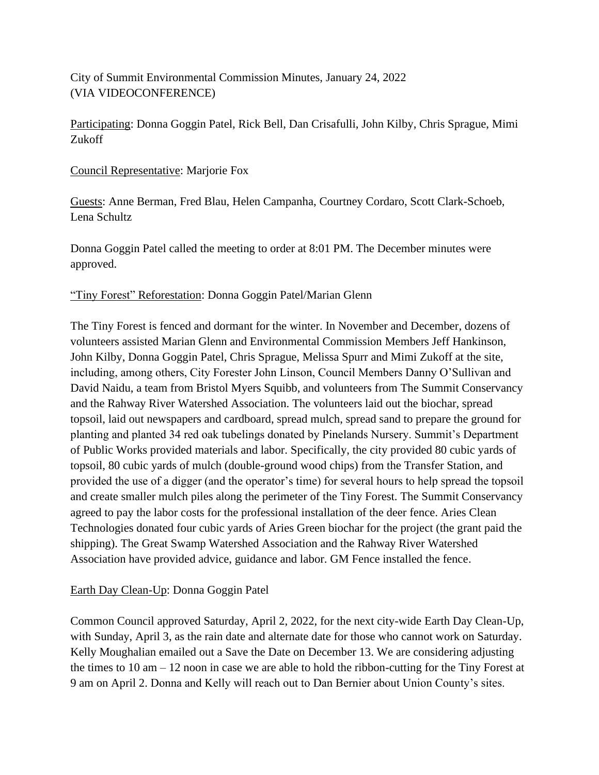City of Summit Environmental Commission Minutes, January 24, 2022 (VIA VIDEOCONFERENCE)

Participating: Donna Goggin Patel, Rick Bell, Dan Crisafulli, John Kilby, Chris Sprague, Mimi Zukoff

### Council Representative: Marjorie Fox

Guests: Anne Berman, Fred Blau, Helen Campanha, Courtney Cordaro, Scott Clark-Schoeb, Lena Schultz

Donna Goggin Patel called the meeting to order at 8:01 PM. The December minutes were approved.

#### "Tiny Forest" Reforestation: Donna Goggin Patel/Marian Glenn

The Tiny Forest is fenced and dormant for the winter. In November and December, dozens of volunteers assisted Marian Glenn and Environmental Commission Members Jeff Hankinson, John Kilby, Donna Goggin Patel, Chris Sprague, Melissa Spurr and Mimi Zukoff at the site, including, among others, City Forester John Linson, Council Members Danny O'Sullivan and David Naidu, a team from Bristol Myers Squibb, and volunteers from The Summit Conservancy and the Rahway River Watershed Association. The volunteers laid out the biochar, spread topsoil, laid out newspapers and cardboard, spread mulch, spread sand to prepare the ground for planting and planted 34 red oak tubelings donated by Pinelands Nursery. Summit's Department of Public Works provided materials and labor. Specifically, the city provided 80 cubic yards of topsoil, 80 cubic yards of mulch (double-ground wood chips) from the Transfer Station, and provided the use of a digger (and the operator's time) for several hours to help spread the topsoil and create smaller mulch piles along the perimeter of the Tiny Forest. The Summit Conservancy agreed to pay the labor costs for the professional installation of the deer fence. Aries Clean Technologies donated four cubic yards of Aries Green biochar for the project (the grant paid the shipping). The Great Swamp Watershed Association and the Rahway River Watershed Association have provided advice, guidance and labor. GM Fence installed the fence.

### Earth Day Clean-Up: Donna Goggin Patel

Common Council approved Saturday, April 2, 2022, for the next city-wide Earth Day Clean-Up, with Sunday, April 3, as the rain date and alternate date for those who cannot work on Saturday. Kelly Moughalian emailed out a Save the Date on December 13. We are considering adjusting the times to 10 am – 12 noon in case we are able to hold the ribbon-cutting for the Tiny Forest at 9 am on April 2. Donna and Kelly will reach out to Dan Bernier about Union County's sites.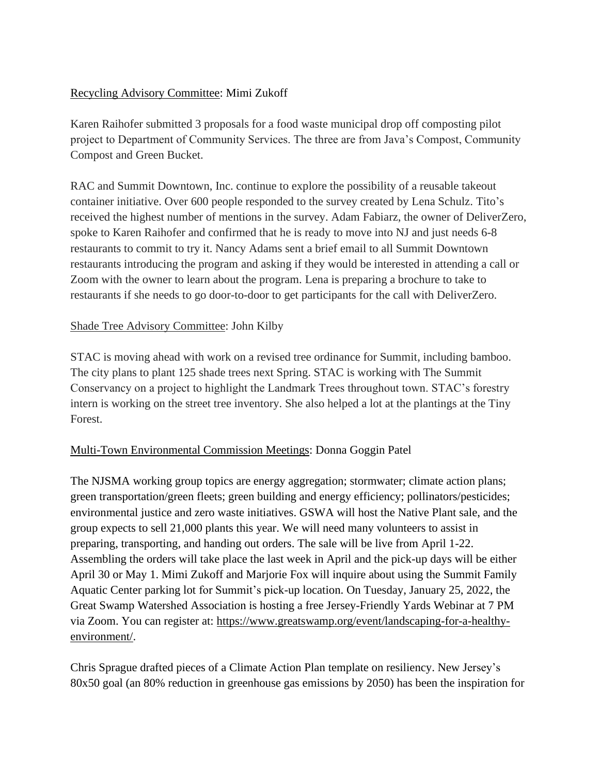## Recycling Advisory Committee: Mimi Zukoff

Karen Raihofer submitted 3 proposals for a food waste municipal drop off composting pilot project to Department of Community Services. The three are from Java's Compost, Community Compost and Green Bucket.

RAC and Summit Downtown, Inc. continue to explore the possibility of a reusable takeout container initiative. Over 600 people responded to the survey created by Lena Schulz. Tito's received the highest number of mentions in the survey. Adam Fabiarz, the owner of DeliverZero, spoke to Karen Raihofer and confirmed that he is ready to move into NJ and just needs 6-8 restaurants to commit to try it. Nancy Adams sent a brief email to all Summit Downtown restaurants introducing the program and asking if they would be interested in attending a call or Zoom with the owner to learn about the program. Lena is preparing a brochure to take to restaurants if she needs to go door-to-door to get participants for the call with DeliverZero.

# Shade Tree Advisory Committee: John Kilby

STAC is moving ahead with work on a revised tree ordinance for Summit, including bamboo. The city plans to plant 125 shade trees next Spring. STAC is working with The Summit Conservancy on a project to highlight the Landmark Trees throughout town. STAC's forestry intern is working on the street tree inventory. She also helped a lot at the plantings at the Tiny Forest.

### Multi-Town Environmental Commission Meetings: Donna Goggin Patel

The NJSMA working group topics are energy aggregation; stormwater; climate action plans; green transportation/green fleets; green building and energy efficiency; pollinators/pesticides; environmental justice and zero waste initiatives. GSWA will host the Native Plant sale, and the group expects to sell 21,000 plants this year. We will need many volunteers to assist in preparing, transporting, and handing out orders. The sale will be live from April 1-22. Assembling the orders will take place the last week in April and the pick-up days will be either April 30 or May 1. Mimi Zukoff and Marjorie Fox will inquire about using the Summit Family Aquatic Center parking lot for Summit's pick-up location. On Tuesday, January 25, 2022, the Great Swamp Watershed Association is hosting a free Jersey-Friendly Yards Webinar at 7 PM via Zoom. You can register at: [https://www.greatswamp.org/event/landscaping-for-a-healthy](https://www.greatswamp.org/event/landscaping-for-a-healthy-environment/)[environment/.](https://www.greatswamp.org/event/landscaping-for-a-healthy-environment/)

Chris Sprague drafted pieces of a Climate Action Plan template on resiliency. New Jersey's 80x50 goal (an 80% reduction in greenhouse gas emissions by 2050) has been the inspiration for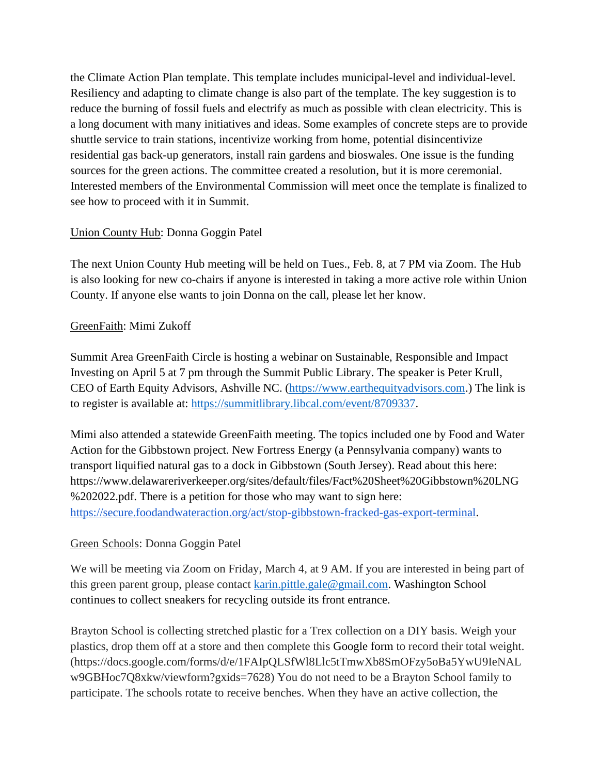the Climate Action Plan template. This template includes municipal-level and individual-level. Resiliency and adapting to climate change is also part of the template. The key suggestion is to reduce the burning of fossil fuels and electrify as much as possible with clean electricity. This is a long document with many initiatives and ideas. Some examples of concrete steps are to provide shuttle service to train stations, incentivize working from home, potential disincentivize residential gas back-up generators, install rain gardens and bioswales. One issue is the funding sources for the green actions. The committee created a resolution, but it is more ceremonial. Interested members of the Environmental Commission will meet once the template is finalized to see how to proceed with it in Summit.

## Union County Hub: Donna Goggin Patel

The next Union County Hub meeting will be held on Tues., Feb. 8, at 7 PM via Zoom. The Hub is also looking for new co-chairs if anyone is interested in taking a more active role within Union County. If anyone else wants to join Donna on the call, please let her know.

### GreenFaith: Mimi Zukoff

Summit Area GreenFaith Circle is hosting a webinar on Sustainable, Responsible and Impact Investing on April 5 at 7 pm through the Summit Public Library. The speaker is Peter Krull, CEO of Earth Equity Advisors, Ashville NC. [\(https://www.earthequityadvisors.com.](https://www.earthequityadvisors.com/)) The link is to register is available at: [https://summitlibrary.libcal.com/event/8709337.](https://summitlibrary.libcal.com/event/8709337)

Mimi also attended a statewide GreenFaith meeting. The topics included one by Food and Water Action for the Gibbstown project. New Fortress Energy (a Pennsylvania company) wants to transport liquified natural gas to a dock in Gibbstown (South Jersey). Read about this here: https://www.delawareriverkeeper.org/sites/default/files/Fact%20Sheet%20Gibbstown%20LNG %202022.pdf. There is a petition for those who may want to sign here: [https://secure.foodandwateraction.org/act/stop-gibbstown-fracked-gas-export-terminal.](https://secure.foodandwateraction.org/act/stop-gibbstown-fracked-gas-export-terminal)

### Green Schools: Donna Goggin Patel

We will be meeting via Zoom on Friday, March 4, at 9 AM. If you are interested in being part of this green parent group, please contact [karin.pittle.gale@gmail.com.](mailto:karin.pittle.gale@gmail.com) Washington School continues to collect sneakers for recycling outside its front entrance.

Brayton School is collecting stretched plastic for a Trex collection on a DIY basis. Weigh your plastics, drop them off at a store and then complete this Google form to record their total weight. (https://docs.google.com/forms/d/e/1FAIpQLSfWl8Llc5tTmwXb8SmOFzy5oBa5YwU9IeNAL w9GBHoc7Q8xkw/viewform?gxids=7628) You do not need to be a Brayton School family to participate. The schools rotate to receive benches. When they have an active collection, the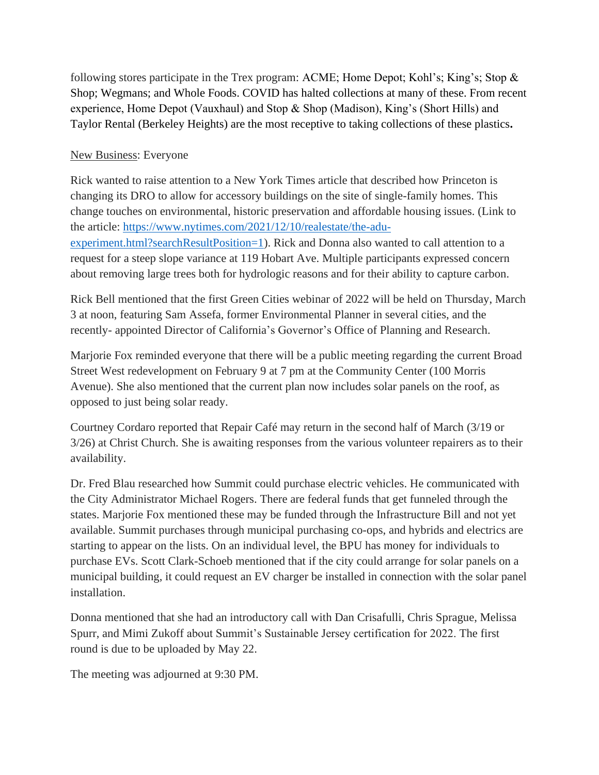following stores participate in the Trex program: ACME; Home Depot; Kohl's; King's; Stop & Shop; Wegmans; and Whole Foods. COVID has halted collections at many of these. From recent experience, Home Depot (Vauxhaul) and Stop & Shop (Madison), King's (Short Hills) and Taylor Rental (Berkeley Heights) are the most receptive to taking collections of these plastics**.**

## New Business: Everyone

Rick wanted to raise attention to a New York Times article that described how Princeton is changing its DRO to allow for accessory buildings on the site of single-family homes. This change touches on environmental, historic preservation and affordable housing issues. (Link to the article: [https://www.nytimes.com/2021/12/10/realestate/the-adu](https://www.nytimes.com/2021/12/10/realestate/the-adu-experiment.html?searchResultPosition=1)[experiment.html?searchResultPosition=1\)](https://www.nytimes.com/2021/12/10/realestate/the-adu-experiment.html?searchResultPosition=1). Rick and Donna also wanted to call attention to a request for a steep slope variance at 119 Hobart Ave. Multiple participants expressed concern about removing large trees both for hydrologic reasons and for their ability to capture carbon.

Rick Bell mentioned that the first Green Cities webinar of 2022 will be held on Thursday, March 3 at noon, featuring Sam Assefa, former Environmental Planner in several cities, and the recently- appointed Director of California's Governor's Office of Planning and Research.

Marjorie Fox reminded everyone that there will be a public meeting regarding the current Broad Street West redevelopment on February 9 at 7 pm at the Community Center (100 Morris Avenue). She also mentioned that the current plan now includes solar panels on the roof, as opposed to just being solar ready.

Courtney Cordaro reported that Repair Café may return in the second half of March (3/19 or 3/26) at Christ Church. She is awaiting responses from the various volunteer repairers as to their availability.

Dr. Fred Blau researched how Summit could purchase electric vehicles. He communicated with the City Administrator Michael Rogers. There are federal funds that get funneled through the states. Marjorie Fox mentioned these may be funded through the Infrastructure Bill and not yet available. Summit purchases through municipal purchasing co-ops, and hybrids and electrics are starting to appear on the lists. On an individual level, the BPU has money for individuals to purchase EVs. Scott Clark-Schoeb mentioned that if the city could arrange for solar panels on a municipal building, it could request an EV charger be installed in connection with the solar panel installation.

Donna mentioned that she had an introductory call with Dan Crisafulli, Chris Sprague, Melissa Spurr, and Mimi Zukoff about Summit's Sustainable Jersey certification for 2022. The first round is due to be uploaded by May 22.

The meeting was adjourned at 9:30 PM.